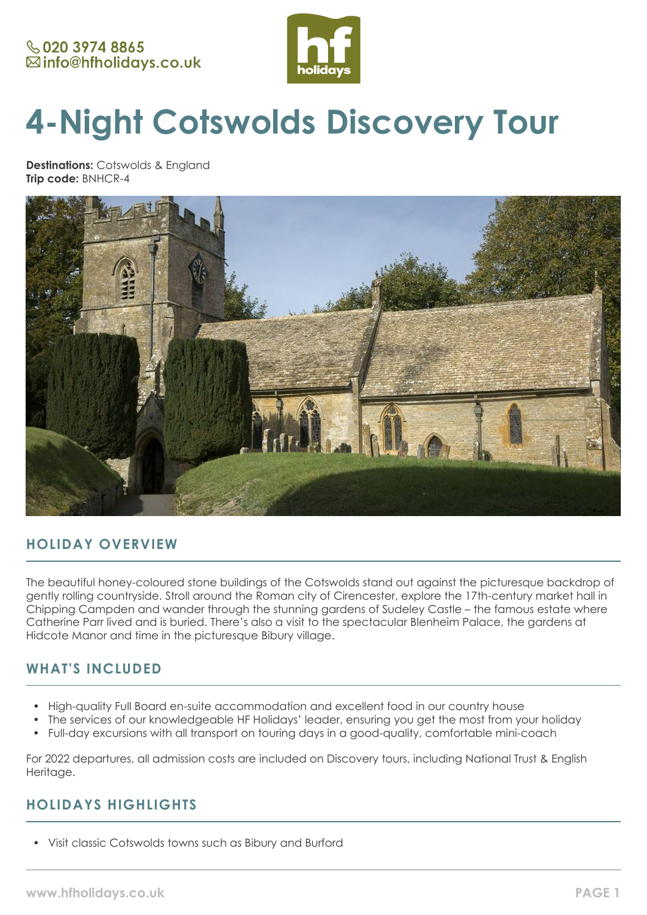

# **4-Night Cotswolds Discovery Tour**

**Destinations:** Cotswolds & England **Trip code:** BNHCR-4



# **HOLIDAY OVERVIEW**

The beautiful honey-coloured stone buildings of the Cotswolds stand out against the picturesque backdrop of gently rolling countryside. Stroll around the Roman city of Cirencester, explore the 17th-century market hall in Chipping Campden and wander through the stunning gardens of Sudeley Castle – the famous estate where Catherine Parr lived and is buried. There's also a visit to the spectacular Blenheim Palace, the gardens at Hidcote Manor and time in the picturesque Bibury village.

# **WHAT'S INCLUDED**

- High-quality Full Board en-suite accommodation and excellent food in our country house
- The services of our knowledgeable HF Holidays' leader, ensuring you get the most from your holiday
- Full-day excursions with all transport on touring days in a good-quality, comfortable mini-coach

For 2022 departures, all admission costs are included on Discovery tours, including National Trust & English Heritage.

# **HOLIDAYS HIGHLIGHTS**

• Visit classic Cotswolds towns such as Bibury and Burford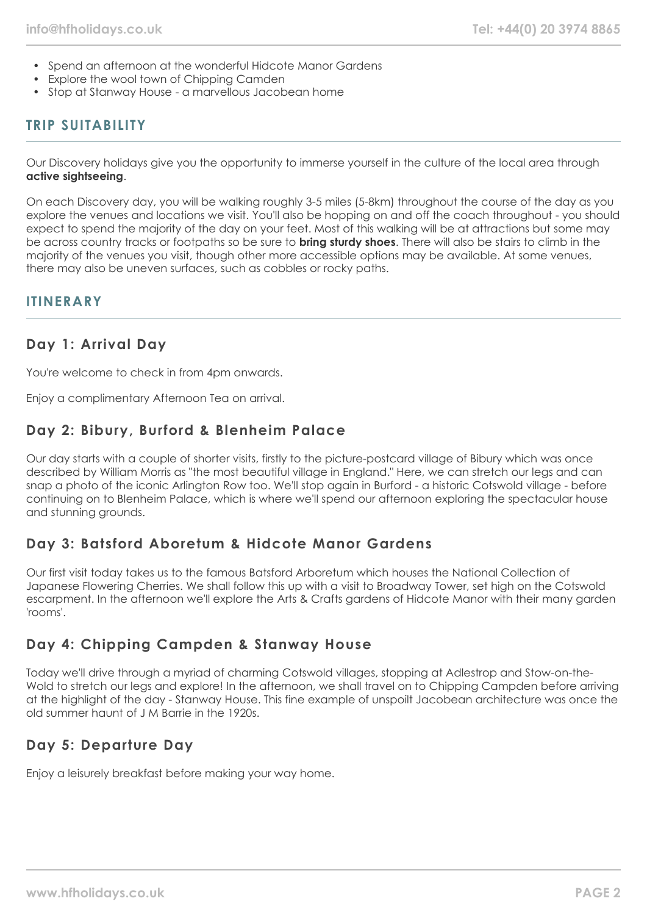- Spend an afternoon at the wonderful Hidcote Manor Gardens
- Explore the wool town of Chipping Camden
- Stop at Stanway House a marvellous Jacobean home

# **TRIP SUITABILITY**

Our Discovery holidays give you the opportunity to immerse yourself in the culture of the local area through **active sightseeing**.

On each Discovery day, you will be walking roughly 3-5 miles (5-8km) throughout the course of the day as you explore the venues and locations we visit. You'll also be hopping on and off the coach throughout - you should expect to spend the majority of the day on your feet. Most of this walking will be at attractions but some may be across country tracks or footpaths so be sure to **bring sturdy shoes**. There will also be stairs to climb in the majority of the venues you visit, though other more accessible options may be available. At some venues, there may also be uneven surfaces, such as cobbles or rocky paths.

## **ITINERARY**

## **Day 1: Arrival Day**

You're welcome to check in from 4pm onwards.

Enjoy a complimentary Afternoon Tea on arrival.

## **Day 2: Bibury, Burford & Blenheim Palace**

Our day starts with a couple of shorter visits, firstly to the picture-postcard village of Bibury which was once described by William Morris as "the most beautiful village in England." Here, we can stretch our legs and can snap a photo of the iconic Arlington Row too. We'll stop again in Burford - a historic Cotswold village - before continuing on to Blenheim Palace, which is where we'll spend our afternoon exploring the spectacular house and stunning grounds.

## **Day 3: Batsford Aboretum & Hidcote Manor Gardens**

Our first visit today takes us to the famous Batsford Arboretum which houses the National Collection of Japanese Flowering Cherries. We shall follow this up with a visit to Broadway Tower, set high on the Cotswold escarpment. In the afternoon we'll explore the Arts & Crafts gardens of Hidcote Manor with their many garden 'rooms'.

# **Day 4: Chipping Campden & Stanway House**

Today we'll drive through a myriad of charming Cotswold villages, stopping at Adlestrop and Stow-on-the-Wold to stretch our legs and explore! In the afternoon, we shall travel on to Chipping Campden before arriving at the highlight of the day - Stanway House. This fine example of unspoilt Jacobean architecture was once the old summer haunt of J M Barrie in the 1920s.

## **Day 5: Departure Day**

Enjoy a leisurely breakfast before making your way home.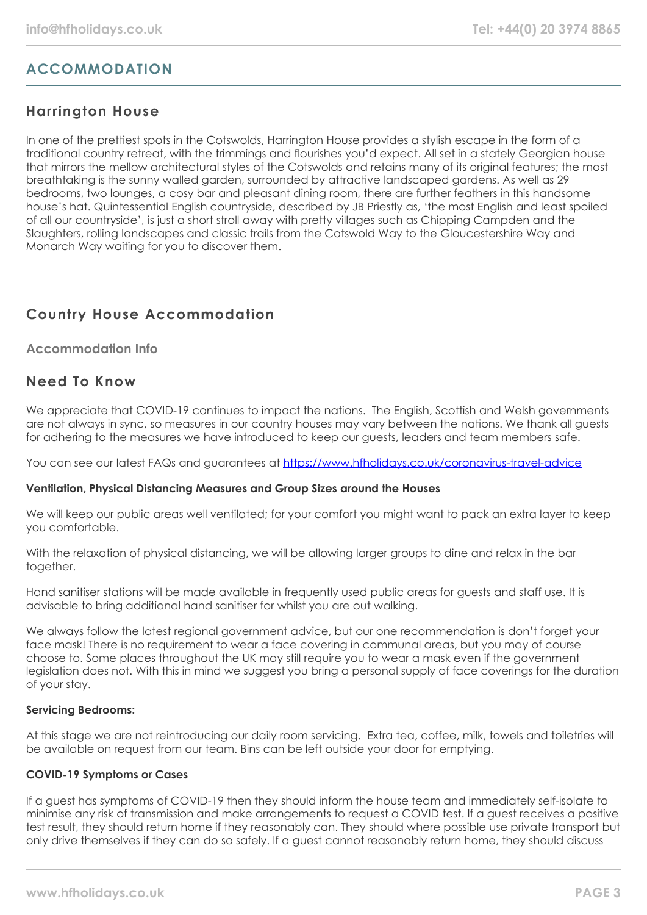# **ACCOMMODATION**

# **Harrington House**

In one of the prettiest spots in the Cotswolds, Harrington House provides a stylish escape in the form of a traditional country retreat, with the trimmings and flourishes you'd expect. All set in a stately Georgian house that mirrors the mellow architectural styles of the Cotswolds and retains many of its original features; the most breathtaking is the sunny walled garden, surrounded by attractive landscaped gardens. As well as 29 bedrooms, two lounges, a cosy bar and pleasant dining room, there are further feathers in this handsome house's hat. Quintessential English countryside, described by JB Priestly as, 'the most English and least spoiled of all our countryside', is just a short stroll away with pretty villages such as Chipping Campden and the Slaughters, rolling landscapes and classic trails from the Cotswold Way to the Gloucestershire Way and Monarch Way waiting for you to discover them.

# **Country House Accommodation**

## **Accommodation Info**

## **Need To Know**

We appreciate that COVID-19 continues to impact the nations. The English, Scottish and Welsh governments are not always in sync, so measures in our country houses may vary between the nations. We thank all quests for adhering to the measures we have introduced to keep our guests, leaders and team members safe.

You can see our latest FAQs and guarantees at <https://www.hfholidays.co.uk/coronavirus-travel-advice>

## **Ventilation, Physical Distancing Measures and Group Sizes around the Houses**

We will keep our public areas well ventilated; for your comfort you might want to pack an extra layer to keep you comfortable.

With the relaxation of physical distancing, we will be allowing larger groups to dine and relax in the bar together.

Hand sanitiser stations will be made available in frequently used public areas for guests and staff use. It is advisable to bring additional hand sanitiser for whilst you are out walking.

We always follow the latest regional government advice, but our one recommendation is don't forget your face mask! There is no requirement to wear a face covering in communal areas, but you may of course choose to. Some places throughout the UK may still require you to wear a mask even if the government legislation does not. With this in mind we suggest you bring a personal supply of face coverings for the duration of your stay.

## **Servicing Bedrooms:**

At this stage we are not reintroducing our daily room servicing. Extra tea, coffee, milk, towels and toiletries will be available on request from our team. Bins can be left outside your door for emptying.

## **COVID-19 Symptoms or Cases**

If a guest has symptoms of COVID-19 then they should inform the house team and immediately self-isolate to minimise any risk of transmission and make arrangements to request a COVID test. If a guest receives a positive test result, they should return home if they reasonably can. They should where possible use private transport but only drive themselves if they can do so safely. If a guest cannot reasonably return home, they should discuss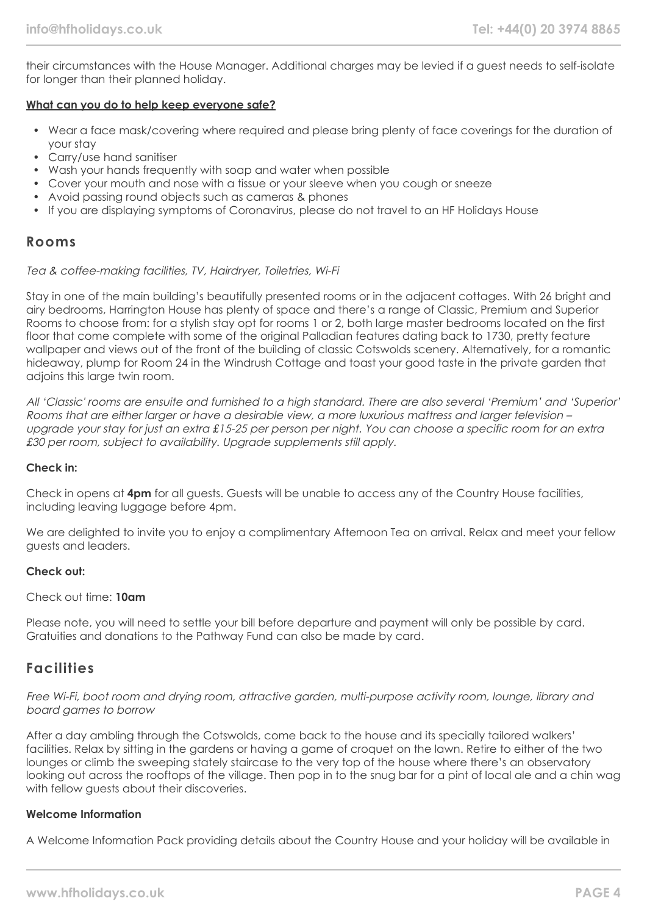their circumstances with the House Manager. Additional charges may be levied if a guest needs to self-isolate for longer than their planned holiday.

## **What can you do to help keep everyone safe?**

- Wear a face mask/covering where required and please bring plenty of face coverings for the duration of your stay
- Carry/use hand sanitiser
- Wash your hands frequently with soap and water when possible
- Cover your mouth and nose with a tissue or your sleeve when you cough or sneeze
- Avoid passing round objects such as cameras & phones
- If you are displaying symptoms of Coronavirus, please do not travel to an HF Holidays House

## **Rooms**

## Tea & coffee-making facilities, TV, Hairdryer, Toiletries, Wi-Fi

Stay in one of the main building's beautifully presented rooms or in the adjacent cottages. With 26 bright and airy bedrooms, Harrington House has plenty of space and there's a range of Classic, Premium and Superior Rooms to choose from: for a stylish stay opt for rooms 1 or 2, both large master bedrooms located on the first floor that come complete with some of the original Palladian features dating back to 1730, pretty feature wallpaper and views out of the front of the building of classic Cotswolds scenery. Alternatively, for a romantic hideaway, plump for Room 24 in the Windrush Cottage and toast your good taste in the private garden that adjoins this large twin room.

All 'Classic' rooms are ensuite and furnished to a high standard. There are also several 'Premium' and 'Superior' Rooms that are either larger or have a desirable view, a more luxurious mattress and larger television – upgrade your stay for just an extra £15-25 per person per night. You can choose a specific room for an extra £30 per room, subject to availability. Upgrade supplements still apply.

## **Check in:**

Check in opens at **4pm** for all guests. Guests will be unable to access any of the Country House facilities, including leaving luggage before 4pm.

We are delighted to invite you to enjoy a complimentary Afternoon Tea on arrival. Relax and meet your fellow guests and leaders.

## **Check out:**

## Check out time: **10am**

Please note, you will need to settle your bill before departure and payment will only be possible by card. Gratuities and donations to the Pathway Fund can also be made by card.

## **Facilities**

## Free Wi-Fi, boot room and drying room, attractive garden, multi-purpose activity room, lounge, library and board games to borrow

After a day ambling through the Cotswolds, come back to the house and its specially tailored walkers' facilities. Relax by sitting in the gardens or having a game of croquet on the lawn. Retire to either of the two lounges or climb the sweeping stately staircase to the very top of the house where there's an observatory looking out across the rooftops of the village. Then pop in to the snug bar for a pint of local ale and a chin wag with fellow guests about their discoveries.

## **Welcome Information**

A Welcome Information Pack providing details about the Country House and your holiday will be available in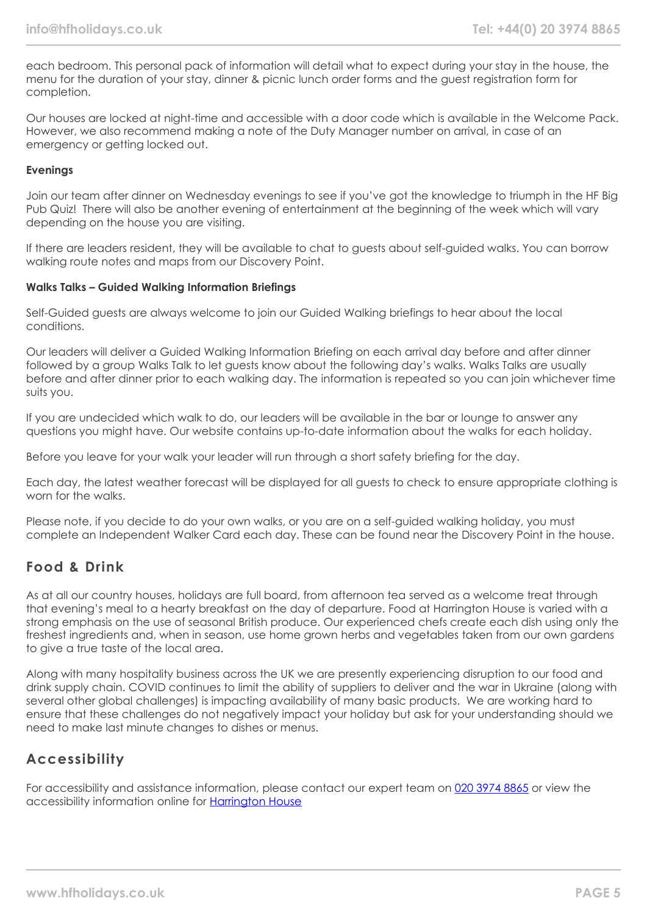each bedroom. This personal pack of information will detail what to expect during your stay in the house, the menu for the duration of your stay, dinner & picnic lunch order forms and the guest registration form for completion.

Our houses are locked at night-time and accessible with a door code which is available in the Welcome Pack. However, we also recommend making a note of the Duty Manager number on arrival, in case of an emergency or getting locked out.

## **Evenings**

Join our team after dinner on Wednesday evenings to see if you've got the knowledge to triumph in the HF Big Pub Quiz! There will also be another evening of entertainment at the beginning of the week which will vary depending on the house you are visiting.

If there are leaders resident, they will be available to chat to guests about self-guided walks. You can borrow walking route notes and maps from our Discovery Point.

## **Walks Talks – Guided Walking Information Briefings**

Self-Guided guests are always welcome to join our Guided Walking briefings to hear about the local conditions.

Our leaders will deliver a Guided Walking Information Briefing on each arrival day before and after dinner followed by a group Walks Talk to let guests know about the following day's walks. Walks Talks are usually before and after dinner prior to each walking day. The information is repeated so you can join whichever time suits you.

If you are undecided which walk to do, our leaders will be available in the bar or lounge to answer any questions you might have. Our website contains up-to-date information about the walks for each holiday.

Before you leave for your walk your leader will run through a short safety briefing for the day.

Each day, the latest weather forecast will be displayed for all guests to check to ensure appropriate clothing is worn for the walks.

Please note, if you decide to do your own walks, or you are on a self-guided walking holiday, you must complete an Independent Walker Card each day. These can be found near the Discovery Point in the house.

# **Food & Drink**

As at all our country houses, holidays are full board, from afternoon tea served as a welcome treat through that evening's meal to a hearty breakfast on the day of departure. Food at Harrington House is varied with a strong emphasis on the use of seasonal British produce. Our experienced chefs create each dish using only the freshest ingredients and, when in season, use home grown herbs and vegetables taken from our own gardens to give a true taste of the local area.

Along with many hospitality business across the UK we are presently experiencing disruption to our food and drink supply chain. COVID continues to limit the ability of suppliers to deliver and the war in Ukraine (along with several other global challenges) is impacting availability of many basic products. We are working hard to ensure that these challenges do not negatively impact your holiday but ask for your understanding should we need to make last minute changes to dishes or menus.

# **Accessibility**

For accessibility and assistance information, please contact our expert team on [020 3974 8865](tel:02039748865) or view the accessibility information online for [Harrington House](https://www.hfholidays.co.uk/images/Documents/accessibility_statements/Harrington_House_-_accessibility_information_-_update_Feb_2021.pdf)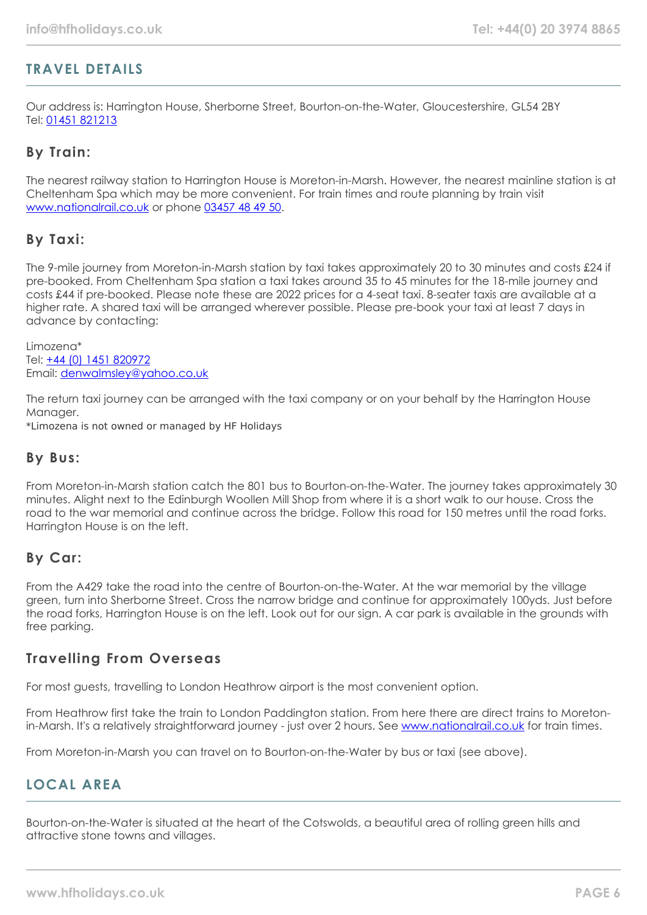# **TRAVEL DETAILS**

Our address is: Harrington House, Sherborne Street, Bourton-on-the-Water, Gloucestershire, GL54 2BY Tel: [01451 821213](tel:01451821213)

## **By Train:**

The nearest railway station to Harrington House is Moreton-in-Marsh. However, the nearest mainline station is at Cheltenham Spa which may be more convenient. For train times and route planning by train visit [www.nationalrail.co.uk](https://www.nationalrail.co.uk/) or phone [03457 48 49 50.](tel:03457484950)

# **By Taxi:**

The 9-mile journey from Moreton-in-Marsh station by taxi takes approximately 20 to 30 minutes and costs £24 if pre-booked. From Cheltenham Spa station a taxi takes around 35 to 45 minutes for the 18-mile journey and costs £44 if pre-booked. Please note these are 2022 prices for a 4-seat taxi. 8-seater taxis are available at a higher rate. A shared taxi will be arranged wherever possible. Please pre-book your taxi at least 7 days in advance by contacting:

Limozena\* Tel: [+44 \(0\) 1451 820972](tel:01451820972) Email: [denwalmsley@yahoo.co.uk](mailto:denwalmsley@yahoo.co.uk)

The return taxi journey can be arranged with the taxi company or on your behalf by the Harrington House Manager.

\*Limozena is not owned or managed by HF Holidays

## **By Bus:**

From Moreton-in-Marsh station catch the 801 bus to Bourton-on-the-Water. The journey takes approximately 30 minutes. Alight next to the Edinburgh Woollen Mill Shop from where it is a short walk to our house. Cross the road to the war memorial and continue across the bridge. Follow this road for 150 metres until the road forks. Harrington House is on the left.

## **By Car:**

From the A429 take the road into the centre of Bourton-on-the-Water. At the war memorial by the village green, turn into Sherborne Street. Cross the narrow bridge and continue for approximately 100yds. Just before the road forks, Harrington House is on the left. Look out for our sign. A car park is available in the grounds with free parking.

## **Travelling From Overseas**

For most guests, travelling to London Heathrow airport is the most convenient option.

From Heathrow first take the train to London Paddington station. From here there are direct trains to Moretonin-Marsh. It's a relatively straightforward journey - just over 2 hours. See [www.nationalrail.co.uk](https://www.nationalrail.co.uk/) for train times.

From Moreton-in-Marsh you can travel on to Bourton-on-the-Water by bus or taxi (see above).

# **LOCAL AREA**

Bourton-on-the-Water is situated at the heart of the Cotswolds, a beautiful area of rolling green hills and attractive stone towns and villages.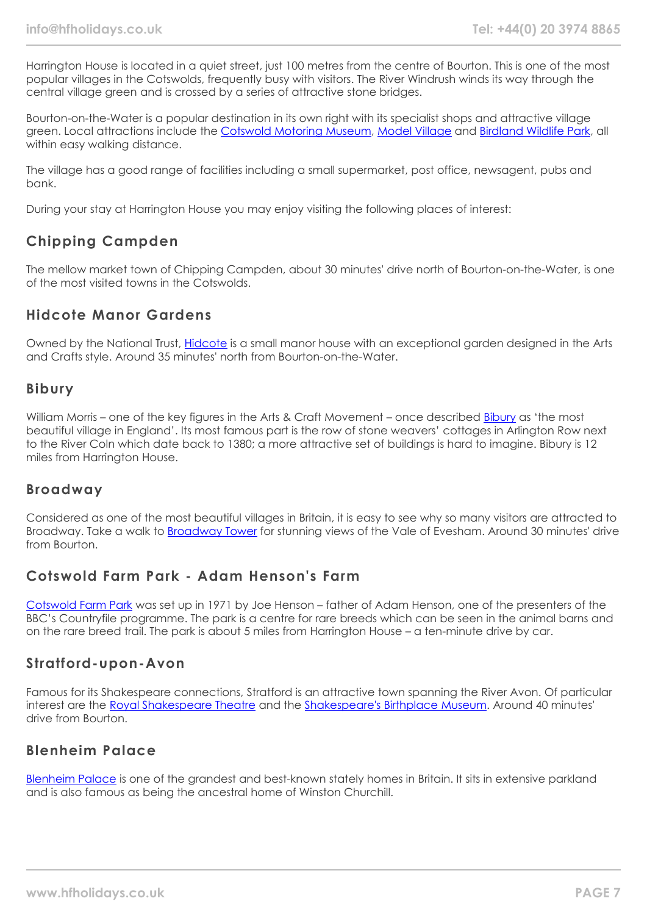Harrington House is located in a quiet street, just 100 metres from the centre of Bourton. This is one of the most popular villages in the Cotswolds, frequently busy with visitors. The River Windrush winds its way through the central village green and is crossed by a series of attractive stone bridges.

Bourton-on-the-Water is a popular destination in its own right with its specialist shops and attractive village green. Local attractions include the [Cotswold Motoring Museum,](https://www.cotswoldmotoringmuseum.co.uk/) [Model Village](https://theoldnewinn.co.uk/model-village) and [Birdland Wildlife Park](https://www.birdland.co.uk/), all within easy walking distance.

The village has a good range of facilities including a small supermarket, post office, newsagent, pubs and bank.

During your stay at Harrington House you may enjoy visiting the following places of interest:

# **Chipping Campden**

The mellow market town of Chipping Campden, about 30 minutes' drive north of Bourton-on-the-Water, is one of the most visited towns in the Cotswolds.

# **Hidcote Manor Gardens**

Owned by the National Trust, [Hidcote](https://www.nationaltrust.org.uk/hidcote) is a small manor house with an exceptional garden designed in the Arts and Crafts style. Around 35 minutes' north from Bourton-on-the-Water.

## **Bibury**

William Morris – one of the key figures in the Arts & Craft Movement – once described [Bibury](https://www.bibury.com/) as 'the most beautiful village in England'. Its most famous part is the row of stone weavers' cottages in Arlington Row next to the River Coln which date back to 1380; a more attractive set of buildings is hard to imagine. Bibury is 12 miles from Harrington House.

# **Broadway**

Considered as one of the most beautiful villages in Britain, it is easy to see why so many visitors are attracted to Broadway. Take a walk to [Broadway Tower](https://broadwaytower.co.uk/) for stunning views of the Vale of Evesham. Around 30 minutes' drive from Bourton.

# **Cotswold Farm Park - Adam Henson's Farm**

[Cotswold Farm Park](https://cotswoldfarmpark.co.uk/) was set up in 1971 by Joe Henson – father of Adam Henson, one of the presenters of the BBC's Countryfile programme. The park is a centre for rare breeds which can be seen in the animal barns and on the rare breed trail. The park is about 5 miles from Harrington House – a ten-minute drive by car.

## **Stratford-upon-Avon**

Famous for its Shakespeare connections, Stratford is an attractive town spanning the River Avon. Of particular interest are the [Royal Shakespeare Theatre](https://www.rsc.org.uk/your-visit) and the [Shakespeare's Birthplace Museum](https://www.shakespeare.org.uk/). Around 40 minutes' drive from Bourton.

# **Blenheim Palace**

[Blenheim Palace](https://www.blenheimpalace.com/) is one of the grandest and best-known stately homes in Britain. It sits in extensive parkland and is also famous as being the ancestral home of Winston Churchill.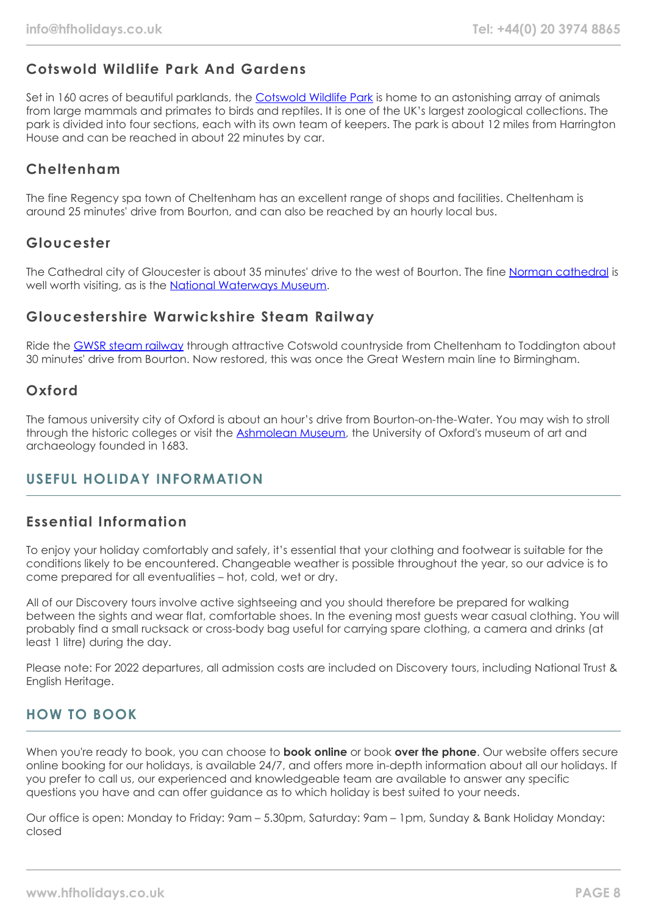# **Cotswold Wildlife Park And Gardens**

Set in 160 acres of beautiful parklands, the [Cotswold Wildlife Park](https://www.cotswoldwildlifepark.co.uk/) is home to an astonishing array of animals from large mammals and primates to birds and reptiles. It is one of the UK's largest zoological collections. The park is divided into four sections, each with its own team of keepers. The park is about 12 miles from Harrington House and can be reached in about 22 minutes by car.

# **Cheltenham**

The fine Regency spa town of Cheltenham has an excellent range of shops and facilities. Cheltenham is around 25 minutes' drive from Bourton, and can also be reached by an hourly local bus.

## **Gloucester**

The Cathedral city of Gloucester is about 35 minutes' drive to the west of Bourton. The fine [Norman cathedral](https://www.gloucestercathedral.org.uk/) is well worth visiting, as is the [National Waterways Museum.](https://canalrivertrust.org.uk/places-to-visit/gloucester-docks)

## **Gloucestershire Warwickshire Steam Railway**

Ride the [GWSR steam railway](https://www.gwsr.com/) through attractive Cotswold countryside from Cheltenham to Toddington about 30 minutes' drive from Bourton. Now restored, this was once the Great Western main line to Birmingham.

## **Oxford**

The famous university city of Oxford is about an hour's drive from Bourton-on-the-Water. You may wish to stroll through the historic colleges or visit the [Ashmolean Museum](https://www.ashmolean.org/), the University of Oxford's museum of art and archaeology founded in 1683.

# **USEFUL HOLIDAY INFORMATION**

## **Essential Information**

To enjoy your holiday comfortably and safely, it's essential that your clothing and footwear is suitable for the conditions likely to be encountered. Changeable weather is possible throughout the year, so our advice is to come prepared for all eventualities – hot, cold, wet or dry.

All of our Discovery tours involve active sightseeing and you should therefore be prepared for walking between the sights and wear flat, comfortable shoes. In the evening most guests wear casual clothing. You will probably find a small rucksack or cross-body bag useful for carrying spare clothing, a camera and drinks (at least 1 litre) during the day.

Please note: For 2022 departures, all admission costs are included on Discovery tours, including National Trust & English Heritage.

# **HOW TO BOOK**

When you're ready to book, you can choose to **book online** or book **over the phone**. Our website offers secure online booking for our holidays, is available 24/7, and offers more in-depth information about all our holidays. If you prefer to call us, our experienced and knowledgeable team are available to answer any specific questions you have and can offer guidance as to which holiday is best suited to your needs.

Our office is open: Monday to Friday: 9am – 5.30pm, Saturday: 9am – 1pm, Sunday & Bank Holiday Monday: closed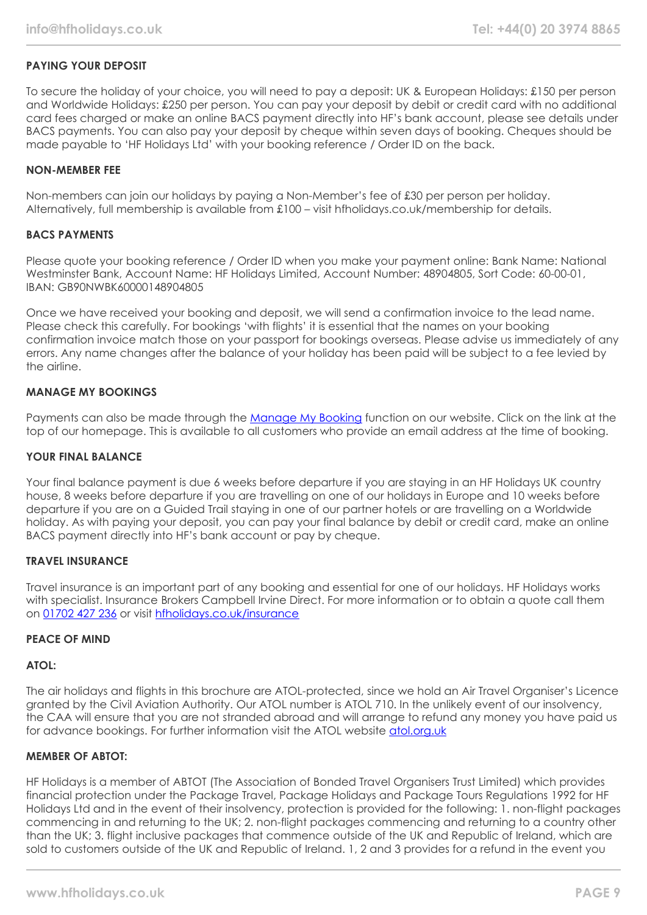## **PAYING YOUR DEPOSIT**

To secure the holiday of your choice, you will need to pay a deposit: UK & European Holidays: £150 per person and Worldwide Holidays: £250 per person. You can pay your deposit by debit or credit card with no additional card fees charged or make an online BACS payment directly into HF's bank account, please see details under BACS payments. You can also pay your deposit by cheque within seven days of booking. Cheques should be made payable to 'HF Holidays Ltd' with your booking reference / Order ID on the back.

## **NON-MEMBER FEE**

Non-members can join our holidays by paying a Non-Member's fee of £30 per person per holiday. Alternatively, full membership is available from £100 – visit hfholidays.co.uk/membership for details.

#### **BACS PAYMENTS**

Please quote your booking reference / Order ID when you make your payment online: Bank Name: National Westminster Bank, Account Name: HF Holidays Limited, Account Number: 48904805, Sort Code: 60-00-01, IBAN: GB90NWBK60000148904805

Once we have received your booking and deposit, we will send a confirmation invoice to the lead name. Please check this carefully. For bookings 'with flights' it is essential that the names on your booking confirmation invoice match those on your passport for bookings overseas. Please advise us immediately of any errors. Any name changes after the balance of your holiday has been paid will be subject to a fee levied by the airline.

## **MANAGE MY BOOKINGS**

Payments can also be made through the [Manage My Booking](https://www.hfholidays.co.uk/about-us/bookings/my-booking) function on our website. Click on the link at the top of our homepage. This is available to all customers who provide an email address at the time of booking.

#### **YOUR FINAL BALANCE**

Your final balance payment is due 6 weeks before departure if you are staying in an HF Holidays UK country house, 8 weeks before departure if you are travelling on one of our holidays in Europe and 10 weeks before departure if you are on a Guided Trail staying in one of our partner hotels or are travelling on a Worldwide holiday. As with paying your deposit, you can pay your final balance by debit or credit card, make an online BACS payment directly into HF's bank account or pay by cheque.

## **TRAVEL INSURANCE**

Travel insurance is an important part of any booking and essential for one of our holidays. HF Holidays works with specialist. Insurance Brokers Campbell Irvine Direct. For more information or to obtain a quote call them on [01702 427 236](tel:01702427236) or visit [hfholidays.co.uk/insurance](https://www.hfholidays.co.uk/about-us/bookings/insurance)

## **PEACE OF MIND**

## **ATOL:**

The air holidays and flights in this brochure are ATOL-protected, since we hold an Air Travel Organiser's Licence granted by the Civil Aviation Authority. Our ATOL number is ATOL 710. In the unlikely event of our insolvency, the CAA will ensure that you are not stranded abroad and will arrange to refund any money you have paid us for advance bookings. For further information visit the ATOL website [atol.org.uk](https://www.atol.org/)

## **MEMBER OF ABTOT:**

HF Holidays is a member of ABTOT (The Association of Bonded Travel Organisers Trust Limited) which provides financial protection under the Package Travel, Package Holidays and Package Tours Regulations 1992 for HF Holidays Ltd and in the event of their insolvency, protection is provided for the following: 1. non-flight packages commencing in and returning to the UK; 2. non-flight packages commencing and returning to a country other than the UK; 3. flight inclusive packages that commence outside of the UK and Republic of Ireland, which are sold to customers outside of the UK and Republic of Ireland. 1, 2 and 3 provides for a refund in the event you